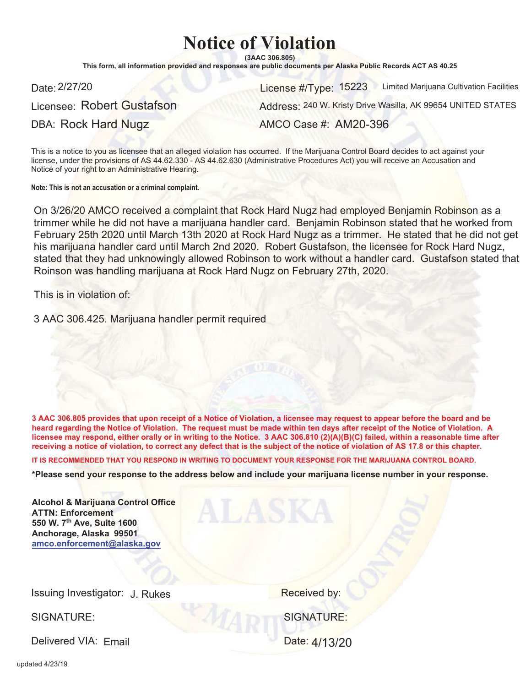## **Notice of Violation**

 $(3AAC306.805)$ 

This form, all information provided and responses are public documents per Alaska Public Records ACT AS 40.25

Licensee: Robert Gustafson

Date: 2/27/20 License #/Type: 15223 Limited Marijuana Cultivation Facilities

DBA: Rock Hard Nugz

Address: 240 W. Kristy Drive Wasilla, AK 99654 UNITED STATES

AMCO Case #: AM20-396

This is a notice to you as licensee that an alleged violation has occurred. If the Marijuana Control Board decides to act against vour license, under the provisions of AS 44.62.330 - AS 44.62.630 (Administrative Procedures Act) you will receive an Accusation and Notice of your right to an Administrative Hearing.

**Note: This is not an accusation or a criminal complaint.**

On 3/26/20 AMCO received a complaint that Rock Hard Nugz had employed Benjamin Robinson as a trimmer while he did not have a marijuana handler card. Benjamin Robinson stated that he worked from February 25th 2020 until March 13th 2020 at Rock Hard Nugz as a trimmer. He stated that he did not get his marijuana handler card until March 2nd 2020. Robert Gustafson, the licensee for Rock Hard Nugz, stated that they had unknowingly allowed Robinson to work without a handler card. Gustafson stated that Roinson was handling marijuana at Rock Hard Nugz on February 27th, 2020.

This is in violation of:

3 AAC 306.425. Marijuana handler permit required

3 AAC 306.805 provides that upon receipt of a Notice of Violation, a licensee may request to appear before the board and be heard regarding the Notice of Violation. The request must be made within ten days after receipt of the Notice of Violation. A licensee may respond, either orally or in writing to the Notice. 3 AAC 306.810 (2)(A)(B)(C) failed, within a reasonable time after receiving a notice of violation, to correct any defect that is the subject of the notice of violation of AS 17.8 or this chapter.

IT IS RECOMMENDED THAT YOU RESPOND IN WRITING TO DOCUMENT YOUR RESPONSE FOR THE MARIJUANA CONTROL BOARD.

\*Please send your response to the address below and include your marijuana license number in your response.

| <b>Alcohol &amp; Marijuana Control Office</b><br><b>ATTN: Enforcement</b><br>550 W. 7th Ave, Suite 1600<br>Anchorage, Alaska 99501<br>amco.enforcement@alaska.gov |                   |
|-------------------------------------------------------------------------------------------------------------------------------------------------------------------|-------------------|
| Issuing Investigator: J. Rukes                                                                                                                                    | Received by:      |
| SIGNATURE:                                                                                                                                                        | <b>SIGNATURE:</b> |

Delivered VIA: Fmail

Date: 4/13/20